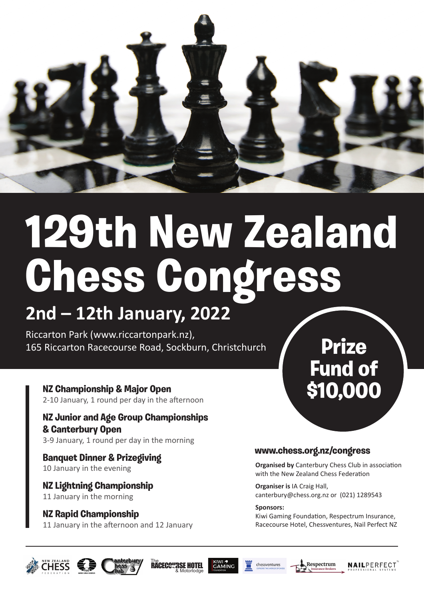

# **129th New Zealand Chess Congress**

### **2nd – 12th January, 2022**

Riccarton Park (www.riccartonpark.nz), 165 Riccarton Racecourse Road, Sockburn, Christchurch

**NZ Championship & Major Open** NZ Championship & Major Open<br>2-10 January, 1 round per day in the afternoon **\$10,000** 

**NZ Junior and Age Group Championships & Canterbury Open** 3-9 January, 1 round per day in the morning

**Banquet Dinner & Prizegiving** 10 January in the evening

**NZ Lightning Championship** 11 January in the morning

**NZ Rapid Championship** 11 January in the afternoon and 12 January

## **Prize Fund of**

#### **www.chess.org.nz/congress**

**Organised by** Canterbury Chess Club in association with the New Zealand Chess Federation

**Organiser is** IA Craig Hall, canterbury@chess.org.nz or (021) 1289543

**Sponsors:**  Kiwi Gaming Foundation, Respectrum Insurance, Racecourse Hotel, Chessventures, Nail Perfect NZ





**The RACECOURSE HOTEL** 







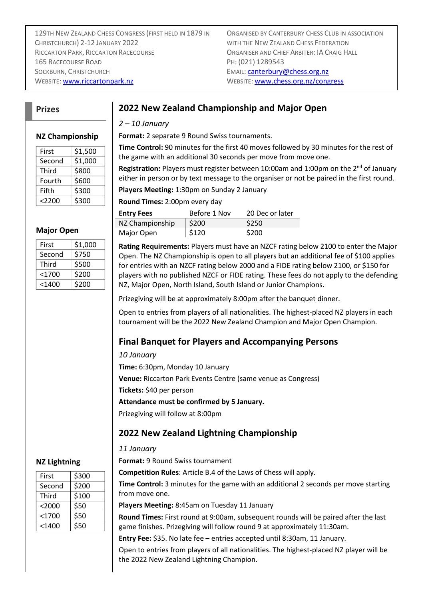129TH NEW ZEALAND CHESS CONGRESS (FIRST HELD IN 1879 IN CHRISTCHURCH) 2-12 JANUARY 2022 RICCARTON PARK, RICCARTON RACECOURSE **ORGANISER AND CHIEF ARBITER: IA CRAIG HALL** 165 RACECOURSE ROAD PH: (021) 1289543 SOCKBURN, CHRISTCHURCH **EMAIL: [canterbury@chess.org.nz](mailto:canterbury@chess.org.nz)** WEBSITE: [www.riccartonpark.nz](http://www.riccartonpark.nz/) WEBSITE: [www.chess.org.nz/congress](http://www.chess.org.nz/congress)

#### **Prizes**

#### **2022 New Zealand Championship and Major Open**

#### *2 – 10 January*

**Format:** 2 separate 9 Round Swiss tournaments.

**Time Control:** 90 minutes for the first 40 moves followed by 30 minutes for the rest of the game with an additional 30 seconds per move from move one.

**Registration:** Players must register between 10:00am and 1:00pm on the 2<sup>nd</sup> of January either in person or by text message to the organiser or not be paired in the first round.

**Players Meeting:** 1:30pm on Sunday 2 January

**Round Times:** 2:00pm every day

| <b>Entry Fees</b> | Before 1 Nov | 20 Dec or later |
|-------------------|--------------|-----------------|
| NZ Championship   | \$200        | \$250           |
| Major Open        | \$120        | \$200           |

**Rating Requirements:** Players must have an NZCF rating below 2100 to enter the Major Open. The NZ Championship is open to all players but an additional fee of \$100 applies for entries with an NZCF rating below 2000 and a FIDE rating below 2100, or \$150 for players with no published NZCF or FIDE rating. These fees do not apply to the defending NZ, Major Open, North Island, South Island or Junior Champions.

Prizegiving will be at approximately 8:00pm after the banquet dinner.

Open to entries from players of all nationalities. The highest-placed NZ players in each tournament will be the 2022 New Zealand Champion and Major Open Champion.

#### **Final Banquet for Players and Accompanying Persons**

*10 January*

**Time:** 6:30pm, Monday 10 January **Venue:** Riccarton Park Events Centre (same venue as Congress)

**Tickets:** \$40 per person

**Attendance must be confirmed by 5 January.**

Prizegiving will follow at 8:00pm

#### **2022 New Zealand Lightning Championship**

#### *11 January*

**Format:** 9 Round Swiss tournament

**Competition Rules**: Article B.4 of the Laws of Chess will apply.

**Time Control:** 3 minutes for the game with an additional 2 seconds per move starting from move one.

**Players Meeting:** 8:45am on Tuesday 11 January

**Round Times:** First round at 9:00am, subsequent rounds will be paired after the last game finishes. Prizegiving will follow round 9 at approximately 11:30am.

**Entry Fee:** \$35. No late fee – entries accepted until 8:30am, 11 January.

Open to entries from players of all nationalities. The highest-placed NZ player will be the 2022 New Zealand Lightning Champion.

#### **NZ Championship**

| First    | \$1,500 |
|----------|---------|
| Second   | \$1,000 |
| Third    | \$800   |
| Fourth   | \$600   |
| Fifth    | \$300   |
| $<$ 2200 | \$300   |
|          |         |

#### **Major Open**

| \$1,000 |
|---------|
| \$750   |
| \$500   |
| \$200   |
| \$200   |
|         |

#### **NZ Lightning**

| First    | \$300 |
|----------|-------|
| Second   | \$200 |
| Third    | \$100 |
| <2000    | \$50  |
| $<$ 1700 | \$50  |
| $<$ 1400 | \$50  |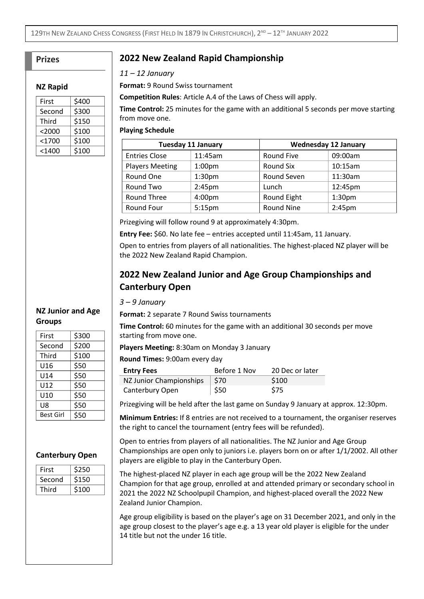#### **Prizes**

#### **NZ Rapid**

| First    | \$400 |
|----------|-------|
| Second   | \$300 |
| Third    | \$150 |
| $<$ 2000 | \$100 |
| $<$ 1700 | \$100 |
| $<$ 1400 | \$100 |

#### **2022 New Zealand Rapid Championship**

*11 – 12 January*

**Format:** 9 Round Swiss tournament

**Competition Rules**: Article A.4 of the Laws of Chess will apply.

**Time Control:** 25 minutes for the game with an additional 5 seconds per move starting from move one.

#### **Playing Schedule**

| <b>Tuesday 11 January</b> |                    | <b>Wednesday 12 January</b> |                    |
|---------------------------|--------------------|-----------------------------|--------------------|
| <b>Entries Close</b>      | 11:45am            | Round Five                  | 09:00am            |
| <b>Players Meeting</b>    | 1:00 <sub>pm</sub> | Round Six                   | 10:15am            |
| Round One                 | 1:30 <sub>pm</sub> | Round Seven                 | 11:30am            |
| Round Two                 | 2:45 <sub>pm</sub> | Lunch                       | 12:45pm            |
| <b>Round Three</b>        | 4:00 <sub>pm</sub> | <b>Round Eight</b>          | 1:30 <sub>pm</sub> |
| Round Four                | 5:15 <sub>pm</sub> | <b>Round Nine</b>           | 2:45 <sub>pm</sub> |

Prizegiving will follow round 9 at approximately 4:30pm.

**Entry Fee:** \$60. No late fee – entries accepted until 11:45am, 11 January.

Open to entries from players of all nationalities. The highest-placed NZ player will be the 2022 New Zealand Rapid Champion.

#### **2022 New Zealand Junior and Age Group Championships and Canterbury Open**

*3 – 9 January*

**Format:** 2 separate 7 Round Swiss tournaments

**Time Control:** 60 minutes for the game with an additional 30 seconds per move starting from move one.

**Players Meeting:** 8:30am on Monday 3 January

**Round Times:** 9:00am every day

| <b>Entry Fees</b>       | Before 1 Nov | 20 Dec or later |
|-------------------------|--------------|-----------------|
| NZ Junior Championships | \$70         | \$100           |
| Canterbury Open         | ∣ \$50       | <b>S75</b>      |

Prizegiving will be held after the last game on Sunday 9 January at approx. 12:30pm.

**Minimum Entries:** If 8 entries are not received to a tournament, the organiser reserves the right to cancel the tournament (entry fees will be refunded).

Open to entries from players of all nationalities. The NZ Junior and Age Group Championships are open only to juniors i.e. players born on or after 1/1/2002. All other players are eligible to play in the Canterbury Open.

The highest-placed NZ player in each age group will be the 2022 New Zealand Champion for that age group, enrolled at and attended primary or secondary school in 2021 the 2022 NZ Schoolpupil Champion, and highest-placed overall the 2022 New Zealand Junior Champion.

Age group eligibility is based on the player's age on 31 December 2021, and only in the age group closest to the player's age e.g. a 13 year old player is eligible for the under 14 title but not the under 16 title.

| First     | \$300 |
|-----------|-------|
| Second    | \$200 |
| Third     | \$100 |
| U16       | \$50  |
| U14       | \$50  |
| U12       | \$50  |
| U10       | \$50  |
| U8        | \$50  |
| Best Girl | \$50  |

**NZ Junior and Age** 

**Groups**

#### **Canterbury Open**

| First  | 250ء             |
|--------|------------------|
| Second | \$150            |
| Third  | S <sub>100</sub> |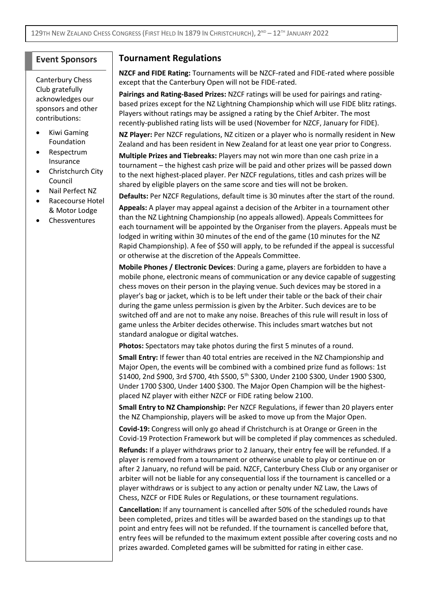#### **Event Sponsors**

Canterbury Chess Club gratefully acknowledges our sponsors and other contributions:

- Kiwi Gaming Foundation
- Respectrum Insurance
- Christchurch City Council
- Nail Perfect NZ
- Racecourse Hotel & Motor Lodge
- **Chessventures**

#### **Tournament Regulations**

**NZCF and FIDE Rating:** Tournaments will be NZCF-rated and FIDE-rated where possible except that the Canterbury Open will not be FIDE-rated.

**Pairings and Rating-Based Prizes:** NZCF ratings will be used for pairings and ratingbased prizes except for the NZ Lightning Championship which will use FIDE blitz ratings. Players without ratings may be assigned a rating by the Chief Arbiter. The most recently-published rating lists will be used (November for NZCF, January for FIDE).

**NZ Player:** Per NZCF regulations, NZ citizen or a player who is normally resident in New Zealand and has been resident in New Zealand for at least one year prior to Congress.

**Multiple Prizes and Tiebreaks:** Players may not win more than one cash prize in a tournament – the highest cash prize will be paid and other prizes will be passed down to the next highest-placed player. Per NZCF regulations, titles and cash prizes will be shared by eligible players on the same score and ties will not be broken.

**Defaults:** Per NZCF Regulations, default time is 30 minutes after the start of the round.

**Appeals:** A player may appeal against a decision of the Arbiter in a tournament other than the NZ Lightning Championship (no appeals allowed). Appeals Committees for each tournament will be appointed by the Organiser from the players. Appeals must be lodged in writing within 30 minutes of the end of the game (10 minutes for the NZ Rapid Championship). A fee of \$50 will apply, to be refunded if the appeal is successful or otherwise at the discretion of the Appeals Committee.

**Mobile Phones / Electronic Devices**: During a game, players are forbidden to have a mobile phone, electronic means of communication or any device capable of suggesting chess moves on their person in the playing venue. Such devices may be stored in a player's bag or jacket, which is to be left under their table or the back of their chair during the game unless permission is given by the Arbiter. Such devices are to be switched off and are not to make any noise. Breaches of this rule will result in loss of game unless the Arbiter decides otherwise. This includes smart watches but not standard analogue or digital watches.

**Photos:** Spectators may take photos during the first 5 minutes of a round.

**Small Entry:** If fewer than 40 total entries are received in the NZ Championship and Major Open, the events will be combined with a combined prize fund as follows: 1st \$1400, 2nd \$900, 3rd \$700, 4th \$500, 5 th \$300, Under 2100 \$300, Under 1900 \$300, Under 1700 \$300, Under 1400 \$300. The Major Open Champion will be the highestplaced NZ player with either NZCF or FIDE rating below 2100.

**Small Entry to NZ Championship:** Per NZCF Regulations, if fewer than 20 players enter the NZ Championship, players will be asked to move up from the Major Open.

**Covid-19:** Congress will only go ahead if Christchurch is at Orange or Green in the Covid-19 Protection Framework but will be completed if play commences as scheduled. **Refunds:** If a player withdraws prior to 2 January, their entry fee will be refunded. If a player is removed from a tournament or otherwise unable to play or continue on or after 2 January, no refund will be paid. NZCF, Canterbury Chess Club or any organiser or arbiter will not be liable for any consequential loss if the tournament is cancelled or a player withdraws or is subject to any action or penalty under NZ Law, the Laws of Chess, NZCF or FIDE Rules or Regulations, or these tournament regulations.

**Cancellation:** If any tournament is cancelled after 50% of the scheduled rounds have been completed, prizes and titles will be awarded based on the standings up to that point and entry fees will not be refunded. If the tournament is cancelled before that, entry fees will be refunded to the maximum extent possible after covering costs and no prizes awarded. Completed games will be submitted for rating in either case.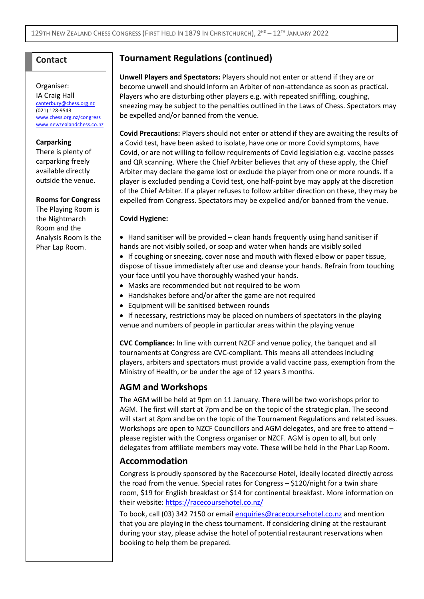#### **Contact**

#### Organiser: IA Craig Hall

[canterbury@chess.org.nz](mailto:canterbury@chess.org.nz) (021) 128-9543 [www.chess.org.nz/](http://www.chess.org.nz/)congress [www.newzealandchess.co.nz](http://www.newzealandchess.co.nz/)

#### **Carparking**

There is plenty of carparking freely available directly outside the venue.

#### **Rooms for Congress**

The Playing Room is the Nightmarch Room and the Analysis Room is the Phar Lap Room.

#### **Tournament Regulations (continued)**

**Unwell Players and Spectators:** Players should not enter or attend if they are or become unwell and should inform an Arbiter of non-attendance as soon as practical. Players who are disturbing other players e.g. with repeated sniffling, coughing, sneezing may be subject to the penalties outlined in the Laws of Chess. Spectators may be expelled and/or banned from the venue.

**Covid Precautions:** Players should not enter or attend if they are awaiting the results of a Covid test, have been asked to isolate, have one or more Covid symptoms, have Covid, or are not willing to follow requirements of Covid legislation e.g. vaccine passes and QR scanning. Where the Chief Arbiter believes that any of these apply, the Chief Arbiter may declare the game lost or exclude the player from one or more rounds. If a player is excluded pending a Covid test, one half-point bye may apply at the discretion of the Chief Arbiter. If a player refuses to follow arbiter direction on these, they may be expelled from Congress. Spectators may be expelled and/or banned from the venue.

#### **Covid Hygiene:**

- Hand sanitiser will be provided clean hands frequently using hand sanitiser if hands are not visibly soiled, or soap and water when hands are visibly soiled
- If coughing or sneezing, cover nose and mouth with flexed elbow or paper tissue, dispose of tissue immediately after use and cleanse your hands. Refrain from touching your face until you have thoroughly washed your hands.
- Masks are recommended but not required to be worn
- Handshakes before and/or after the game are not required
- Equipment will be sanitised between rounds
- If necessary, restrictions may be placed on numbers of spectators in the playing venue and numbers of people in particular areas within the playing venue

**CVC Compliance:** In line with current NZCF and venue policy, the banquet and all tournaments at Congress are CVC-compliant. This means all attendees including players, arbiters and spectators must provide a valid vaccine pass, exemption from the Ministry of Health, or be under the age of 12 years 3 months.

#### **AGM and Workshops**

The AGM will be held at 9pm on 11 January. There will be two workshops prior to AGM. The first will start at 7pm and be on the topic of the strategic plan. The second will start at 8pm and be on the topic of the Tournament Regulations and related issues. Workshops are open to NZCF Councillors and AGM delegates, and are free to attend – please register with the Congress organiser or NZCF. AGM is open to all, but only delegates from affiliate members may vote. These will be held in the Phar Lap Room.

#### **Accommodation**

Congress is proudly sponsored by the Racecourse Hotel, ideally located directly across the road from the venue. Special rates for Congress – \$120/night for a twin share room, \$19 for English breakfast or \$14 for continental breakfast. More information on their website:<https://racecoursehotel.co.nz/>

To book, call (03) 342 7150 or email [enquiries@racecoursehotel.co.nz](mailto:enquiries@racecoursehotel.co.nz) and mention that you are playing in the chess tournament. If considering dining at the restaurant during your stay, please advise the hotel of potential restaurant reservations when booking to help them be prepared.